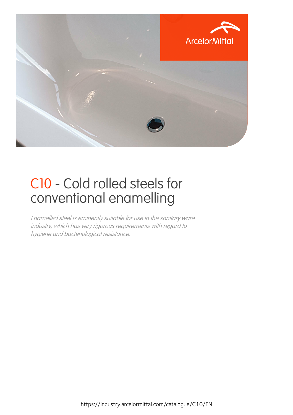

## C10 - Cold rolled steels for conventional enamelling

Enamelled steel is eminently suitable for use in the sanitary ware industry, which has very rigorous requirements with regard to hygiene and bacteriological resistance.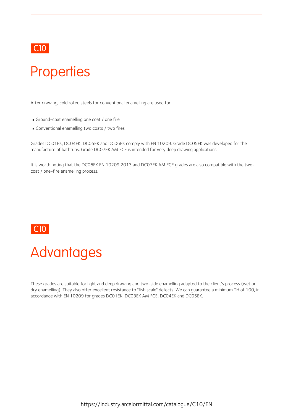

### **Properties**

After drawing, cold rolled steels for conventional enamelling are used for:

- Ground-coat enamelling one coat / one fire
- Conventional enamelling two coats / two fires

Grades DC01EK, DC04EK, DC05EK and DC06EK comply with EN 10209. Grade DC05EK was developed for the manufacture of bathtubs. Grade DC07EK AM FCE is intended for very deep drawing applications.

It is worth noting that the DC06EK EN 10209:2013 and DC07EK AM FCE grades are also compatible with the twocoat / one-fire enamelling process.

### C10



These grades are suitable for light and deep drawing and two-side enamelling adapted to the client's process (wet or dry enamelling). They also offer excellent resistance to "fish scale" defects. We can guarantee a minimum TH of 100, in accordance with EN 10209 for grades DC01EK, DC03EK AM FCE, DC04EK and DC05EK.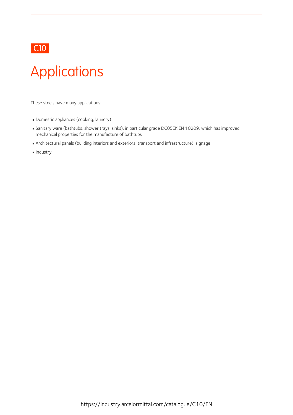

## Applications

These steels have many applications:

- Domestic appliances (cooking, laundry)
- Sanitary ware (bathtubs, shower trays, sinks), in particular grade DC05EK EN 10209, which has improved mechanical properties for the manufacture of bathtubs
- Architectural panels (building interiors and exteriors, transport and infrastructure), signage
- **Industry**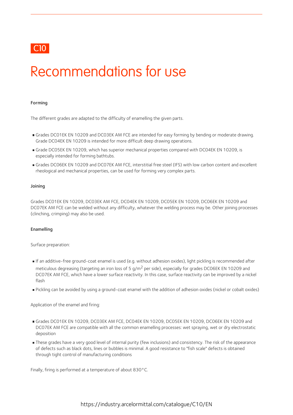### C10 **C10**

### Recommendations for use

#### Forming

The different grades are adapted to the difficulty of enamelling the given parts.

- Grades DC01EK EN 10209 and DC03EK AM FCE are intended for easy forming by bending or moderate drawing. Grade DC04EK EN 10209 is intended for more difficult deep drawing operations.
- Grade DC05EK EN 10209, which has superior mechanical properties compared with DC04EK EN 10209, is especially intended for forming bathtubs.
- Grades DC06EK EN 10209 and DC07EK AM FCE, interstitial free steel (IFS) with low carbon content and excellent rheological and mechanical properties, can be used for forming very complex parts.

#### Joining

Grades DC01EK EN 10209, DC03EK AM FCE, DC04EK EN 10209, DC05EK EN 10209, DC06EK EN 10209 and DC07EK AM FCE can be welded without any difficulty, whatever the welding process may be. Other joining processes (clinching, crimping) may also be used.

#### Enamelling

Surface preparation:

- If an additive-free ground-coat enamel is used (e.g. without adhesion oxides), light pickling is recommended after meticulous degreasing (targeting an iron loss of 5 g/m<sup>2</sup> per side), especially for grades DC06EK EN 10209 and DC07EK AM FCE, which have a lower surface reactivity. In this case, surface reactivity can be improved by a nickel flash
- Pickling can be avoided by using a ground-coat enamel with the addition of adhesion oxides (nickel or cobalt oxides)

Application of the enamel and firing:

- Grades DC01EK EN 10209, DC03EK AM FCE, DC04EK EN 10209, DC05EK EN 10209, DC06EK EN 10209 and DC07EK AM FCE are compatible with all the common enamelling processes: wet spraying, wet or dry electrostatic deposition
- These grades have avery good levelof internal purity (few inclusions) and consistency. The risk of the appearance of defects such as black dots, lines or bubbles is minimal. A good resistance to "fish scale" defects is obtained through tight control of manufacturing conditions

Finally, firing is performed at a temperature of about 830°C.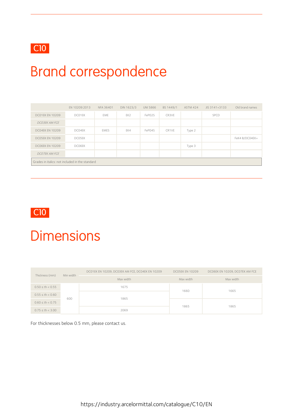

## Brand correspondence

|                                                 | EN 10209:2013 | NFA 36401 | DIN 1623/3      | <b>UNI 5866</b> | BS 1449/1 | <b>ASTM 424</b> | JIS 3141+3133 | Old brand names |
|-------------------------------------------------|---------------|-----------|-----------------|-----------------|-----------|-----------------|---------------|-----------------|
| <b>DC01EK EN 10209</b>                          | DC01EK        | EME       | EK <sub>2</sub> | FePO2S          | CR3VE     |                 | SPCD          |                 |
| <b>DCO3EK AM FCE</b>                            |               |           |                 |                 |           |                 |               |                 |
| <b>DC04EK EN 10209</b>                          | DC04EK        | EMES      | EK4             | FePO4S          | CR1VE     | Type 2          |               |                 |
| <b>DCO5EK EN 10209</b>                          | DC05EK        |           |                 |                 |           |                 |               | FeK4 B/DC04EK+  |
| <b>DCO6EK EN 10209</b>                          | DC06EK        |           |                 |                 |           | Type 3          |               |                 |
| <b>DCO7EK AM FCE</b>                            |               |           |                 |                 |           |                 |               |                 |
| Grades in italics: not included in the standard |               |           |                 |                 |           |                 |               |                 |



### **Dimensions**

| Thickness (mm)       | Min width | DC01EK EN 10209, DC03EK AM FCE, DC04EK EN 10209 | <b>DC05EK EN 10209</b> | DC06EK EN 10209, DC07EK AM FCE |  |
|----------------------|-----------|-------------------------------------------------|------------------------|--------------------------------|--|
|                      |           | Max width                                       | Max width              | Max width                      |  |
| $0.50 \le th < 0.55$ |           | 1675                                            | 1660                   | 1665                           |  |
| $0.55 \le th < 0.60$ | 600       | 1865                                            |                        |                                |  |
| $0.60 \le th < 0.75$ |           |                                                 |                        |                                |  |
| $0.75 \le th < 3.00$ |           | 2069                                            | 1865                   | 1865                           |  |

For thicknesses below 0.5 mm, please contact us.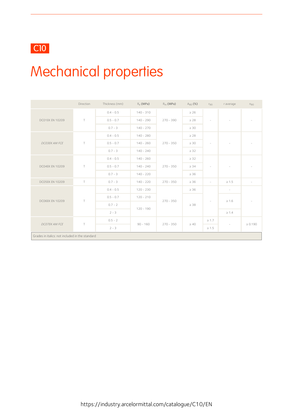### C10

# Mechanical properties

|                                                 | Direction | Thickness (mm) | $R_{\rho}$ (MPa) | $R_m$ (MPa) | $A_{80}$ (%) | $r_{90}$                 | r average                | $n_{90}$                 |
|-------------------------------------------------|-----------|----------------|------------------|-------------|--------------|--------------------------|--------------------------|--------------------------|
| <b>DCO1EK EN 10209</b>                          |           | $0.4 - 0.5$    | $140 - 310$      | $270 - 390$ | $\geq 26$    | ÷                        |                          |                          |
|                                                 | $\top$    | $0.5 - 0.7$    | $140 - 290$      |             | $\geq$ 28    |                          |                          |                          |
|                                                 |           | $0.7 - 3$      | $140 - 270$      |             | $\geq 30$    |                          |                          |                          |
|                                                 | $\top$    | $0.4 - 0.5$    | $140 - 280$      | $270 - 350$ | $\geq$ 28    | $\overline{\phantom{a}}$ |                          | $\overline{\phantom{a}}$ |
| DC03EK AM FCE                                   |           | $0.5 - 0.7$    | $140 - 260$      |             | $\geq 30$    |                          |                          |                          |
|                                                 |           | $0.7 - 3$      | $140 - 240$      |             | $\geq$ 32    |                          |                          |                          |
| DC04EK EN 10209                                 | $\top$    | $0.4 - 0.5$    | $140 - 260$      | $270 - 350$ | $\geq$ 32    | $\overline{\phantom{a}}$ | $\sim$                   | $\overline{\phantom{a}}$ |
|                                                 |           | $0.5 - 0.7$    | $140 - 240$      |             | $\geq$ 34    |                          |                          |                          |
|                                                 |           | $0.7 - 3$      | $140 - 220$      |             | $\geq 36$    |                          |                          |                          |
| <b>DC05EK EN 10209</b>                          | $\top$    | $0.7 - 3$      | $140 - 220$      | $270 - 350$ | $\geq 36$    | $\overline{\phantom{a}}$ | $\geq 1.5$               | $\overline{\phantom{a}}$ |
| <b>DCO6EK EN 10209</b>                          | $\top$    | $0.4 - 0.5$    | $120 - 230$      |             | $\geq 36$    | $\overline{\phantom{a}}$ | $\overline{\phantom{a}}$ |                          |
|                                                 |           | $0.5 - 0.7$    | $120 - 210$      | $270 - 350$ | $\geq$ 38    |                          | $\geq 1.6$               |                          |
|                                                 |           | $0.7 - 2$      | $120 - 190$      |             |              |                          |                          |                          |
|                                                 |           | $2 - 3$        |                  |             |              |                          | $\geq 1.4$               |                          |
| DCO7EK AM FCE                                   | $\top$    | $0.5 - 2$      | $90 - 160$       | $270 - 350$ | $\geq 40$    | $\geq 1.7$               | $\overline{\phantom{a}}$ | $\geq 0.190$             |
|                                                 |           | $2 - 3$        |                  |             |              | $\geq 1.5$               |                          |                          |
| Grades in italics: not included in the standard |           |                |                  |             |              |                          |                          |                          |